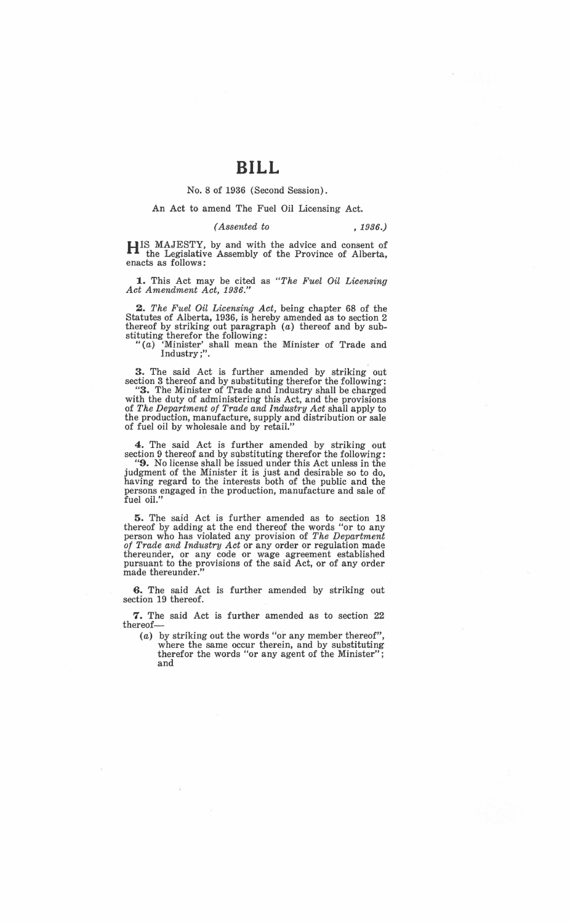No. 8 of 1936 (Second Session).

## An Act to amend The Fuel Oil Licensing Act.

## *(Assented to* , 1936.)

**HIS** MAJESTY, by and with the advice and consent of the Legislative Assembly of the Province of Alberta, enacts as follows:

**1.** This Act may be cited as *"The Fuel Oil Licensing Act Amendment Act, 1936."* 

**2.** *The Fuel Oil Licensing Act,* being chapter 68 of the Statutes of Alberta, 1936, is hereby amended as to section 2 thereof by striking out paragraph (a) thereof and by substituting therefor the following:

"(a) 'Minister' shall mean the Minister of Trade and Industry;".

**3.** The said Act is further amended by striking out section 3 thereof and by substituting therefor the following: **"3.** The Minister of Trade and Industry shall be charged with the duty of administering this Act, and the provisions of The Department of Trade and Industry Act shall apply to the production, manufacture, supply and distribution or sale of fuel oil by wholesale and by retail."

**4.** The said Act is further amended by striking out section 9 thereof and by substituting therefor the following:

**"9.** No license shall be issued under this Act unless in the judgment of the Minister it is just and desirable so to do, having regard to the interests both of the public and the persons engaged in the production, manufacture and sale of  $\mathbf{f}$ uel oil."

**5.** The said Act is further amended as to section 18 thereof by adding at the end thereof the words "or to any person who has violated any provision of *The Department of Trade and Industry Act* or any order or regulation made thereunder, or any code or wage agreement established pursuant to the provisions of the said Act, or of any order made thereunder."

**6.** The said Act is further amended by striking out section 19 thereof.

**7.** The said Act is further amended as to section 22 thereof-

(a) by striking out the words "or any member thereof", where the same occur therein, and by substituting therefor the words "or any agent of the Minister"; and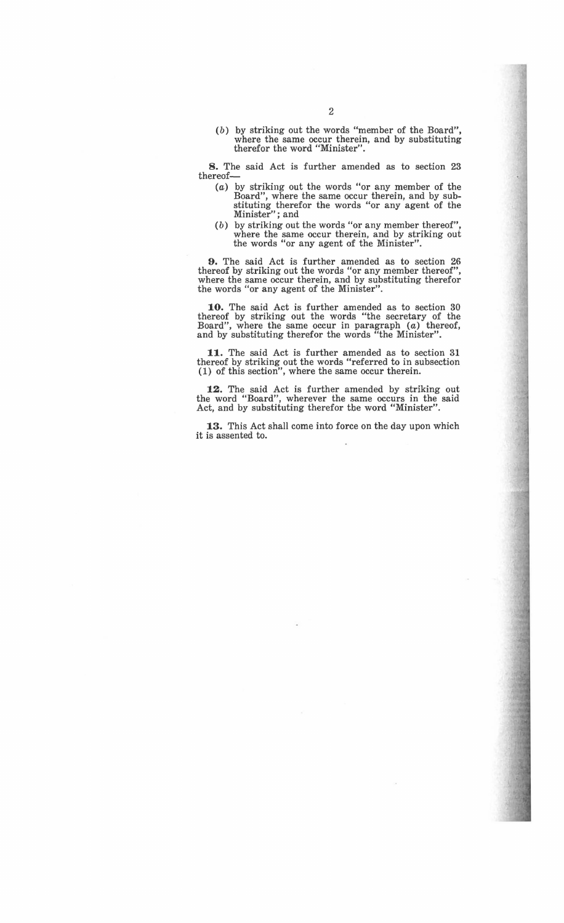(b) by striking out the words "member of the Board", where the same occur therein, and by substituting therefor the word "Minister".

8. The said Act is further amended as to section 23 thereof-

- (a) by striking out the words "or any member of the Board", where the same occur therein, and by substituting therefor the words "or any agent of the Minister" ; and
- $(b)$  by striking out the words "or any member thereof" where the same occur therein, and by striking out the words "or any agent of the Minister".

9. The said Act is further amended as to section 26 thereof by striking out the words "or any member thereof", where the same occur therein, and by substituting therefor the words "or any agent of the Minister".

10. The said Act is further amended as to section 30 thereof by striking out the words "the secretary of the Board", where the same occur in paragraph (a) thereof, and by substituting therefor the words "the Minister".

11. The said Act is further amended as to section 31 thereof by striking out the words "referred to in subsection (1) of this section", where the same occur therein.

12. The said Act is further amended by striking out the word "Board", wherever the same occurs in the said Act, and by substituting therefor the word "Minister".

13. This Act shall come into force on the day upon which it is assented to.